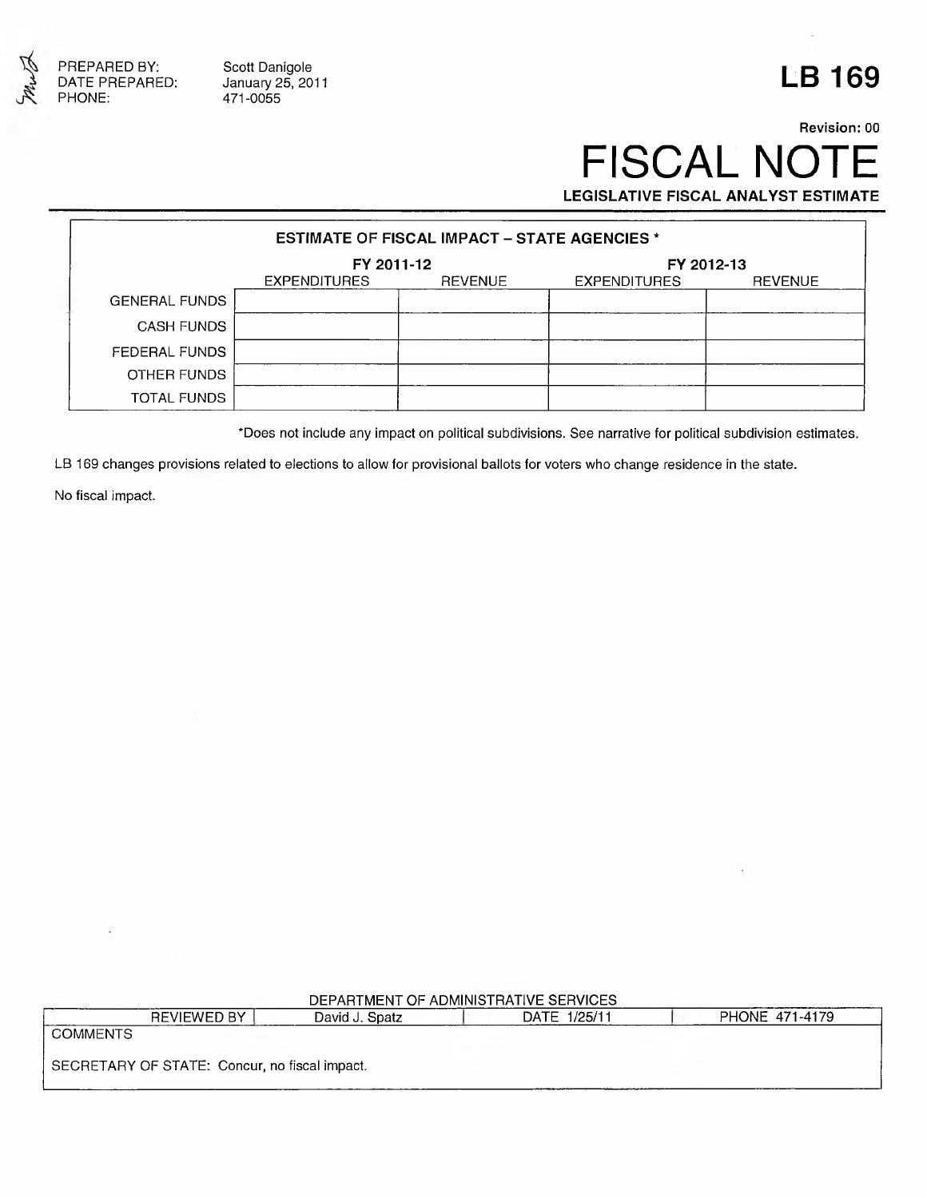

Scott Danigole January 25, 2011 471-0055

## **LB 169**

### **Revision: 00** FISCAL NOTE **LEGISLATIVE FISCAL ANALYST ESTIMATE**

| <b>ESTIMATE OF FISCAL IMPACT - STATE AGENCIES *</b> |                     |                |                     |         |
|-----------------------------------------------------|---------------------|----------------|---------------------|---------|
|                                                     | FY 2011-12          |                | FY 2012-13          |         |
|                                                     | <b>EXPENDITURES</b> | <b>REVENUE</b> | <b>EXPENDITURES</b> | REVENUE |
| <b>GENERAL FUNDS</b>                                |                     |                |                     |         |
| <b>CASH FUNDS</b>                                   |                     |                |                     |         |
| FEDERAL FUNDS                                       |                     |                |                     |         |
| OTHER FUNDS                                         |                     |                |                     |         |
| TOTAL FUNDS                                         |                     |                |                     |         |

\*Does not include any impact on political subdivisions. See narrative for political subdivision estimates.

LB 169 changes provisions related to elections to allow for provisional ballots for voters who change residence in the state.

No fiscal impact.

| DEPARTMENT OF ADMINISTRATIVE SERVICES |  |
|---------------------------------------|--|
|                                       |  |

|                                               | REVIEWED BY | David J. Spatz | 1/25/11<br>DATE | PHONE 471-4179 |
|-----------------------------------------------|-------------|----------------|-----------------|----------------|
| <b>COMMENTS</b>                               |             |                |                 |                |
|                                               |             |                |                 |                |
| SECRETARY OF STATE: Concur, no fiscal impact. |             |                |                 |                |